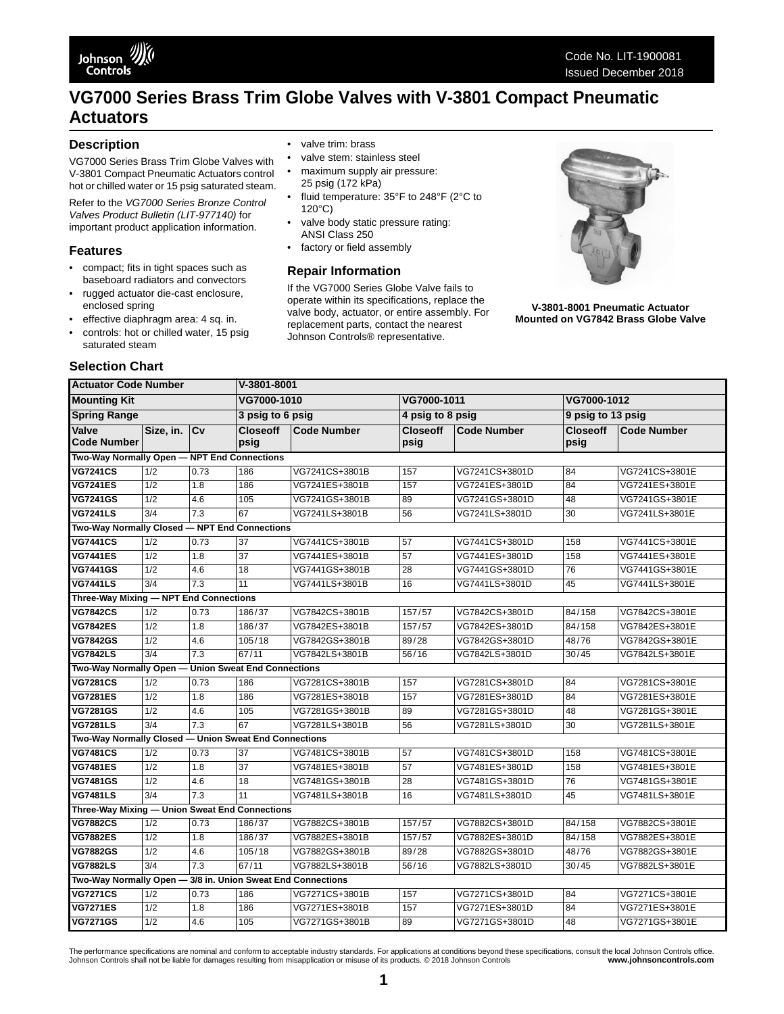# **VG7000 Series Brass Trim Globe Valves with V-3801 Compact Pneumatic Actuators**

### **Description**

VG7000 Series Brass Trim Globe Valves with V-3801 Compact Pneumatic Actuators control hot or chilled water or 15 psig saturated steam.

Refer to the *VG7000 Series Bronze Control Valves Product Bulletin (LIT-977140)* for important product application information.

#### **Features**

**Selection Chart** 

- compact; fits in tight spaces such as baseboard radiators and convectors
- rugged actuator die-cast enclosure, enclosed spring
- effective diaphragm area: 4 sq. in.

#### controls: hot or chilled water, 15 psig saturated steam

- valve trim: brass
- valve stem: stainless steel
- maximum supply air pressure: 25 psig (172 kPa)
- fluid temperature: 35°F to 248°F (2°C to 120°C)
- valve body static pressure rating: ANSI Class 250
- factory or field assembly

#### **Repair Information**

If the VG7000 Series Globe Valve fails to operate within its specifications, replace the valve body, actuator, or entire assembly. For replacement parts, contact the nearest Johnson Controls® representative.



**V-3801-8001 Pneumatic Actuator Mounted on VG7842 Brass Globe Valve**

| <b>Actuator Code Number</b>                                 |                                             |      | V-3801-8001             |                    |                         |                    |                         |                    |  |
|-------------------------------------------------------------|---------------------------------------------|------|-------------------------|--------------------|-------------------------|--------------------|-------------------------|--------------------|--|
| <b>Mounting Kit</b>                                         |                                             |      | VG7000-1010             |                    | VG7000-1011             |                    | VG7000-1012             |                    |  |
| <b>Spring Range</b>                                         |                                             |      | 3 psig to 6 psig        |                    | 4 psig to 8 psig        |                    | 9 psig to 13 psig       |                    |  |
| Valve<br><b>Code Number</b>                                 | Size, in. Cv                                |      | <b>Closeoff</b><br>psig | <b>Code Number</b> | <b>Closeoff</b><br>psig | <b>Code Number</b> | <b>Closeoff</b><br>psig | <b>Code Number</b> |  |
|                                                             | Two-Way Normally Open - NPT End Connections |      |                         |                    |                         |                    |                         |                    |  |
| <b>VG7241CS</b>                                             | 1/2                                         | 0.73 | 186                     | VG7241CS+3801B     | 157                     | VG7241CS+3801D     | 84                      | VG7241CS+3801E     |  |
| <b>VG7241ES</b>                                             | $\overline{1/2}$                            | 1.8  | 186                     | VG7241ES+3801B     | 157                     | VG7241ES+3801D     | 84                      | VG7241ES+3801E     |  |
| <b>VG7241GS</b>                                             | $\overline{1/2}$                            | 4.6  | 105                     | VG7241GS+3801B     | 89                      | VG7241GS+3801D     | 48                      | VG7241GS+3801E     |  |
| <b>VG7241LS</b>                                             | 3/4                                         | 7.3  | 67                      | VG7241LS+3801B     | 56                      | VG7241LS+3801D     | 30                      | VG7241LS+3801E     |  |
| Two-Way Normally Closed - NPT End Connections               |                                             |      |                         |                    |                         |                    |                         |                    |  |
| <b>VG7441CS</b>                                             | 1/2                                         | 0.73 | 37                      | VG7441CS+3801B     | 57                      | VG7441CS+3801D     | 158                     | VG7441CS+3801E     |  |
| <b>VG7441ES</b>                                             | 1/2                                         | 1.8  | $\overline{37}$         | VG7441ES+3801B     | 57                      | VG7441ES+3801D     | 158                     | VG7441ES+3801E     |  |
| <b>VG7441GS</b>                                             | 1/2                                         | 4.6  | 18                      | VG7441GS+3801B     | 28                      | VG7441GS+3801D     | 76                      | VG7441GS+3801E     |  |
| <b>VG7441LS</b>                                             | $\overline{3/4}$                            | 7.3  | 11                      | VG7441LS+3801B     | 16                      | VG7441LS+3801D     | 45                      | VG7441LS+3801E     |  |
| Three-Way Mixing - NPT End Connections                      |                                             |      |                         |                    |                         |                    |                         |                    |  |
| <b>VG7842CS</b>                                             | 1/2                                         | 0.73 | 186/37                  | VG7842CS+3801B     | 157/57                  | VG7842CS+3801D     | 84/158                  | VG7842CS+3801E     |  |
| <b>VG7842ES</b>                                             | $\overline{1/2}$                            | 1.8  | 186/37                  | VG7842ES+3801B     | 157/57                  | VG7842ES+3801D     | 84/158                  | VG7842ES+3801E     |  |
| <b>VG7842GS</b>                                             | 1/2                                         | 4.6  | 105/18                  | VG7842GS+3801B     | 89/28                   | VG7842GS+3801D     | 48/76                   | VG7842GS+3801E     |  |
| <b>VG7842LS</b>                                             | $\overline{3/4}$                            | 7.3  | 67/11                   | VG7842LS+3801B     | 56/16                   | VG7842LS+3801D     | 30/45                   | VG7842LS+3801E     |  |
| Two-Way Normally Open - Union Sweat End Connections         |                                             |      |                         |                    |                         |                    |                         |                    |  |
| <b>VG7281CS</b>                                             | 1/2                                         | 0.73 | 186                     | VG7281CS+3801B     | 157                     | VG7281CS+3801D     | 84                      | VG7281CS+3801E     |  |
| <b>VG7281ES</b>                                             | 1/2                                         | 1.8  | 186                     | VG7281ES+3801B     | 157                     | VG7281ES+3801D     | 84                      | VG7281ES+3801E     |  |
| <b>VG7281GS</b>                                             | 1/2                                         | 4.6  | 105                     | VG7281GS+3801B     | 89                      | VG7281GS+3801D     | 48                      | VG7281GS+3801E     |  |
| <b>VG7281LS</b>                                             | 3/4                                         | 7.3  | 67                      | VG7281LS+3801B     | 56                      | VG7281LS+3801D     | 30                      | VG7281LS+3801E     |  |
| Two-Way Normally Closed - Union Sweat End Connections       |                                             |      |                         |                    |                         |                    |                         |                    |  |
| <b>VG7481CS</b>                                             | 1/2                                         | 0.73 | $\overline{37}$         | VG7481CS+3801B     | 57                      | VG7481CS+3801D     | 158                     | VG7481CS+3801E     |  |
| <b>VG7481ES</b>                                             | $\overline{1/2}$                            | 1.8  | $\overline{37}$         | VG7481ES+3801B     | 57                      | VG7481ES+3801D     | 158                     | VG7481ES+3801E     |  |
| <b>VG7481GS</b>                                             | $\overline{1/2}$                            | 4.6  | 18                      | VG7481GS+3801B     | 28                      | VG7481GS+3801D     | 76                      | VG7481GS+3801E     |  |
| <b>VG7481LS</b>                                             | $\overline{3/4}$                            | 7.3  | 11                      | VG7481LS+3801B     | 16                      | VG7481LS+3801D     | 45                      | VG7481LS+3801E     |  |
| Three-Way Mixing - Union Sweat End Connections              |                                             |      |                         |                    |                         |                    |                         |                    |  |
| <b>VG7882CS</b>                                             | 1/2                                         | 0.73 | 186/37                  | VG7882CS+3801B     | 157/57                  | VG7882CS+3801D     | 84/158                  | VG7882CS+3801E     |  |
| <b>VG7882ES</b>                                             | $\overline{1/2}$                            | 1.8  | 186/37                  | VG7882ES+3801B     | 157/57                  | VG7882ES+3801D     | 84/158                  | VG7882ES+3801E     |  |
| <b>VG7882GS</b>                                             | 1/2                                         | 4.6  | 105/18                  | VG7882GS+3801B     | 89/28                   | VG7882GS+3801D     | 48/76                   | VG7882GS+3801E     |  |
| <b>VG7882LS</b>                                             | 3/4                                         | 7.3  | 67/11                   | VG7882LS+3801B     | 56/16                   | VG7882LS+3801D     | 30/45                   | VG7882LS+3801E     |  |
| Two-Way Normally Open - 3/8 in. Union Sweat End Connections |                                             |      |                         |                    |                         |                    |                         |                    |  |
| <b>VG7271CS</b>                                             | 1/2                                         | 0.73 | 186                     | VG7271CS+3801B     | 157                     | VG7271CS+3801D     | 84                      | VG7271CS+3801E     |  |
| <b>VG7271ES</b>                                             | 1/2                                         | 1.8  | 186                     | VG7271ES+3801B     | 157                     | VG7271ES+3801D     | 84                      | VG7271ES+3801E     |  |
| <b>VG7271GS</b>                                             | 1/2                                         | 4.6  | 105                     | VG7271GS+3801B     | 89                      | VG7271GS+3801D     | 48                      | VG7271GS+3801E     |  |

The performance specifications are nominal and conform to acceptable industry standards. For applications at conditions beyond these specifications, consult the local Johnson Controls office.<br>Johnson Controls shall not be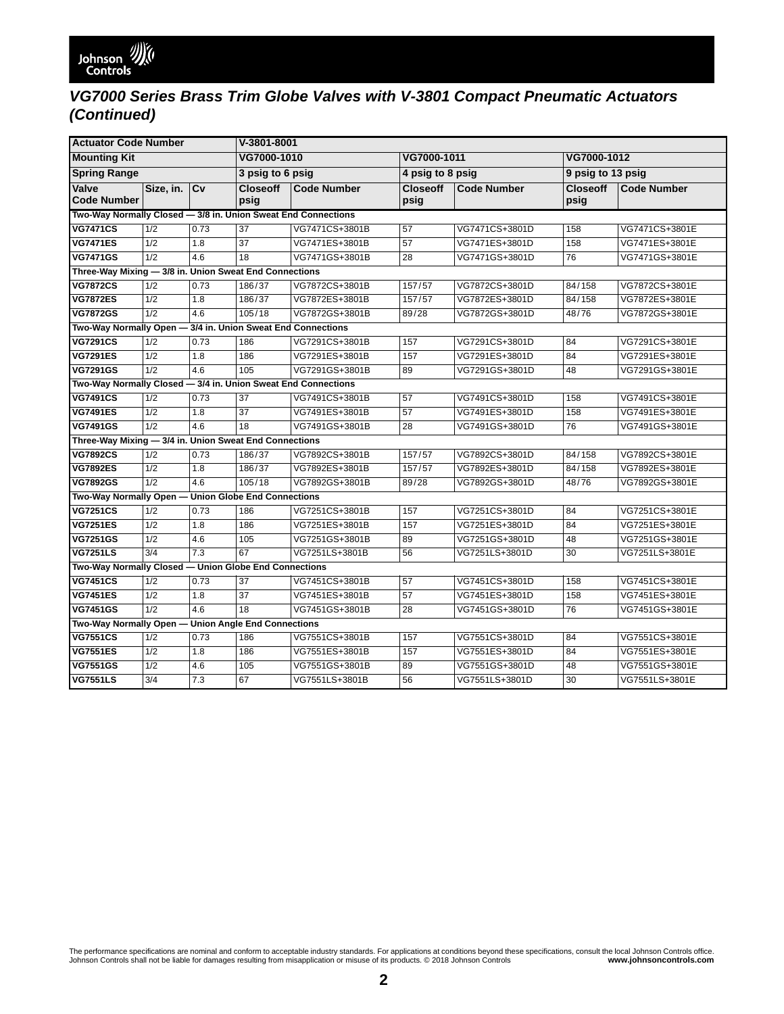# *VG7000 Series Brass Trim Globe Valves with V-3801 Compact Pneumatic Actuators (Continued)*

| <b>Actuator Code Number</b>                                   |                                                        |      | V-3801-8001             |                    |                         |                    |                         |                    |  |
|---------------------------------------------------------------|--------------------------------------------------------|------|-------------------------|--------------------|-------------------------|--------------------|-------------------------|--------------------|--|
| <b>Mounting Kit</b>                                           |                                                        |      | VG7000-1010             |                    | VG7000-1011             |                    | VG7000-1012             |                    |  |
| <b>Spring Range</b>                                           |                                                        |      | 3 psig to 6 psig        |                    | 4 psig to 8 psig        |                    | 9 psig to 13 psig       |                    |  |
| Valve<br><b>Code Number</b>                                   | Size, in. Cv                                           |      | <b>Closeoff</b><br>psig | <b>Code Number</b> | <b>Closeoff</b><br>psig | <b>Code Number</b> | <b>Closeoff</b><br>psig | <b>Code Number</b> |  |
| Two-Way Normally Closed - 3/8 in. Union Sweat End Connections |                                                        |      |                         |                    |                         |                    |                         |                    |  |
| <b>VG7471CS</b>                                               | 1/2                                                    | 0.73 | $\overline{37}$         | VG7471CS+3801B     | 57                      | VG7471CS+3801D     | 158                     | VG7471CS+3801E     |  |
| <b>VG7471ES</b>                                               | 1/2                                                    | 1.8  | 37                      | VG7471ES+3801B     | 57                      | VG7471ES+3801D     | 158                     | VG7471ES+3801E     |  |
| <b>VG7471GS</b>                                               | 1/2                                                    | 4.6  | 18                      | VG7471GS+3801B     | 28                      | VG7471GS+3801D     | 76                      | VG7471GS+3801E     |  |
| Three-Way Mixing - 3/8 in. Union Sweat End Connections        |                                                        |      |                         |                    |                         |                    |                         |                    |  |
| <b>VG7872CS</b>                                               | 1/2                                                    | 0.73 | 186/37                  | VG7872CS+3801B     | 157/57                  | VG7872CS+3801D     | 84/158                  | VG7872CS+3801E     |  |
| <b>VG7872ES</b>                                               | 1/2                                                    | 1.8  | 186/37                  | VG7872ES+3801B     | 157/57                  | VG7872ES+3801D     | 84/158                  | VG7872ES+3801E     |  |
| <b>VG7872GS</b>                                               | 1/2                                                    | 4.6  | 105/18                  | VG7872GS+3801B     | 89/28                   | VG7872GS+3801D     | 48/76                   | VG7872GS+3801E     |  |
| Two-Way Normally Open - 3/4 in. Union Sweat End Connections   |                                                        |      |                         |                    |                         |                    |                         |                    |  |
| <b>VG7291CS</b>                                               | 1/2                                                    | 0.73 | 186                     | VG7291CS+3801B     | 157                     | VG7291CS+3801D     | 84                      | VG7291CS+3801E     |  |
| <b>VG7291ES</b>                                               | 1/2                                                    | 1.8  | 186                     | VG7291ES+3801B     | 157                     | VG7291ES+3801D     | 84                      | VG7291ES+3801E     |  |
| <b>VG7291GS</b>                                               | 1/2                                                    | 4.6  | 105                     | VG7291GS+3801B     | 89                      | VG7291GS+3801D     | 48                      | VG7291GS+3801E     |  |
| Two-Way Normally Closed - 3/4 in. Union Sweat End Connections |                                                        |      |                         |                    |                         |                    |                         |                    |  |
| <b>VG7491CS</b>                                               | 1/2                                                    | 0.73 | 37                      | VG7491CS+3801B     | 57                      | VG7491CS+3801D     | 158                     | VG7491CS+3801E     |  |
| <b>VG7491ES</b>                                               | 1/2                                                    | 1.8  | $\overline{37}$         | VG7491ES+3801B     | 57                      | VG7491ES+3801D     | 158                     | VG7491ES+3801E     |  |
| <b>VG7491GS</b>                                               | 1/2                                                    | 4.6  | 18                      | VG7491GS+3801B     | 28                      | VG7491GS+3801D     | 76                      | VG7491GS+3801E     |  |
|                                                               | Three-Way Mixing - 3/4 in. Union Sweat End Connections |      |                         |                    |                         |                    |                         |                    |  |
| <b>VG7892CS</b>                                               | 1/2                                                    | 0.73 | 186/37                  | VG7892CS+3801B     | 157/57                  | VG7892CS+3801D     | 84/158                  | VG7892CS+3801E     |  |
| <b>VG7892ES</b>                                               | 1/2                                                    | 1.8  | 186/37                  | VG7892ES+3801B     | 157/57                  | VG7892ES+3801D     | 84/158                  | VG7892ES+3801E     |  |
| <b>VG7892GS</b>                                               | 1/2                                                    | 4.6  | 105/18                  | VG7892GS+3801B     | 89/28                   | VG7892GS+3801D     | 48/76                   | VG7892GS+3801E     |  |
| Two-Way Normally Open - Union Globe End Connections           |                                                        |      |                         |                    |                         |                    |                         |                    |  |
| <b>VG7251CS</b>                                               | 1/2                                                    | 0.73 | 186                     | VG7251CS+3801B     | 157                     | VG7251CS+3801D     | 84                      | VG7251CS+3801E     |  |
| <b>VG7251ES</b>                                               | 1/2                                                    | 1.8  | 186                     | VG7251ES+3801B     | 157                     | VG7251ES+3801D     | 84                      | VG7251ES+3801E     |  |
| <b>VG7251GS</b>                                               | 1/2                                                    | 4.6  | 105                     | VG7251GS+3801B     | 89                      | VG7251GS+3801D     | 48                      | VG7251GS+3801E     |  |
| <b>VG7251LS</b>                                               | 3/4                                                    | 7.3  | 67                      | VG7251LS+3801B     | 56                      | VG7251LS+3801D     | 30                      | VG7251LS+3801E     |  |
| Two-Way Normally Closed - Union Globe End Connections         |                                                        |      |                         |                    |                         |                    |                         |                    |  |
| <b>VG7451CS</b>                                               | 1/2                                                    | 0.73 | 37                      | VG7451CS+3801B     | 57                      | VG7451CS+3801D     | 158                     | VG7451CS+3801E     |  |
| <b>VG7451ES</b>                                               | 1/2                                                    | 1.8  | 37                      | VG7451ES+3801B     | 57                      | VG7451ES+3801D     | 158                     | VG7451ES+3801E     |  |
| <b>VG7451GS</b>                                               | $\overline{1/2}$                                       | 4.6  | $\overline{18}$         | VG7451GS+3801B     | 28                      | VG7451GS+3801D     | 76                      | VG7451GS+3801E     |  |
| Two-Way Normally Open-<br><b>Union Angle End Connections</b>  |                                                        |      |                         |                    |                         |                    |                         |                    |  |
| <b>VG7551CS</b>                                               | 1/2                                                    | 0.73 | 186                     | VG7551CS+3801B     | 157                     | VG7551CS+3801D     | 84                      | VG7551CS+3801E     |  |
| <b>VG7551ES</b>                                               | 1/2                                                    | 1.8  | 186                     | VG7551ES+3801B     | 157                     | VG7551ES+3801D     | 84                      | VG7551ES+3801E     |  |
| <b>VG7551GS</b>                                               | 1/2                                                    | 4.6  | 105                     | VG7551GS+3801B     | 89                      | VG7551GS+3801D     | 48                      | VG7551GS+3801E     |  |
| <b>VG7551LS</b>                                               | 3/4                                                    | 7.3  | 67                      | VG7551LS+3801B     | 56                      | VG7551LS+3801D     | 30                      | VG7551LS+3801E     |  |